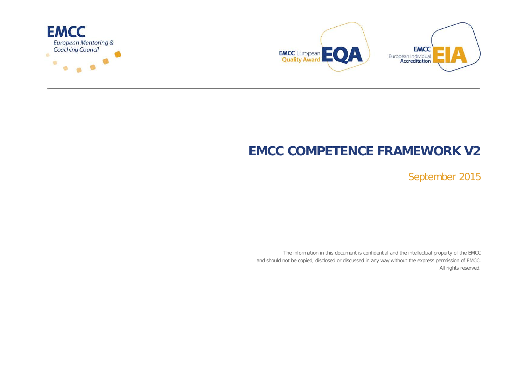



# **EMCC COMPETENCE FRAMEWORK V2**

September 2015

The information in this document is confidential and the intellectual property of the EMCC and should not be copied, disclosed or discussed in any way without the express permission of EMCC. All rights reserved.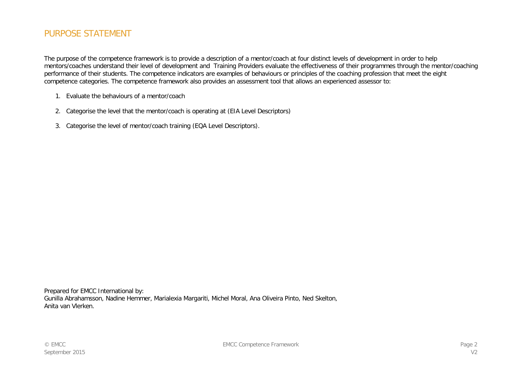### PURPOSE STATEMENT

The purpose of the competence framework is to provide a description of a mentor/coach at four distinct levels of development in order to help mentors/coaches understand their level of development and Training Providers evaluate the effectiveness of their programmes through the mentor/coaching performance of their students. The competence indicators are examples of behaviours or principles of the coaching profession that meet the eight competence categories. The competence framework also provides an assessment tool that allows an experienced assessor to:

- 1. Evaluate the behaviours of a mentor/coach
- 2. Categorise the level that the mentor/coach is operating at (EIA Level Descriptors)
- 3. Categorise the level of mentor/coach training (EQA Level Descriptors).

Prepared for EMCC International by: Gunilla Abrahamsson, Nadine Hemmer, Marialexia Margariti, Michel Moral, Ana Oliveira Pinto, Ned Skelton, Anita van Vlerken.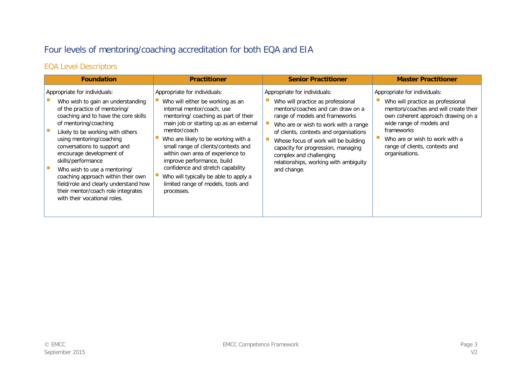# Four levels of mentoring/coaching accreditation for both EQA and EIA

## EQA Level Descriptors

| <b>Foundation</b>                                                                                                                                                                                                                                                                                                                                                                                                                                                                                          | <b>Practitioner</b>                                                                                                                                                                                                                                                                                                                                                                                                                                                                | <b>Senior Practitioner</b>                                                                                                                                                                                                                                                                                                                                                                  | <b>Master Practitioner</b>                                                                                                                                                                                                                                                       |
|------------------------------------------------------------------------------------------------------------------------------------------------------------------------------------------------------------------------------------------------------------------------------------------------------------------------------------------------------------------------------------------------------------------------------------------------------------------------------------------------------------|------------------------------------------------------------------------------------------------------------------------------------------------------------------------------------------------------------------------------------------------------------------------------------------------------------------------------------------------------------------------------------------------------------------------------------------------------------------------------------|---------------------------------------------------------------------------------------------------------------------------------------------------------------------------------------------------------------------------------------------------------------------------------------------------------------------------------------------------------------------------------------------|----------------------------------------------------------------------------------------------------------------------------------------------------------------------------------------------------------------------------------------------------------------------------------|
| Appropriate for individuals:<br>Who wish to gain an understanding<br>of the practice of mentoring/<br>coaching and to have the core skills<br>of mentoring/coaching<br>Likely to be working with others<br>using mentoring/coaching<br>conversations to support and<br>encourage development of<br>skills/performance<br>Who wish to use a mentoring/<br>coaching approach within their own<br>field/role and clearly understand how<br>their mentor/coach role integrates<br>with their vocational roles. | Appropriate for individuals:<br>Who will either be working as an<br>internal mentor/coach, use<br>mentoring/ coaching as part of their<br>main job or starting up as an external<br>mentor/coach<br>Who are likely to be working with a<br>small range of clients/contexts and<br>within own area of experience to<br>improve performance, build<br>confidence and stretch capability<br>Who will typically be able to apply a<br>limited range of models, tools and<br>processes. | Appropriate for individuals:<br>Who will practice as professional<br>mentors/coaches and can draw on a<br>range of models and frameworks<br>Who are or wish to work with a range<br>of clients, contexts and organisations<br>Whose focus of work will be building<br>capacity for progression, managing<br>complex and challenging<br>relationships, working with ambiguity<br>and change. | Appropriate for individuals:<br>Who will practice as professional<br>mentors/coaches and will create their<br>own coherent approach drawing on a<br>wide range of models and<br>frameworks<br>Who are or wish to work with a<br>range of clients, contexts and<br>organisations. |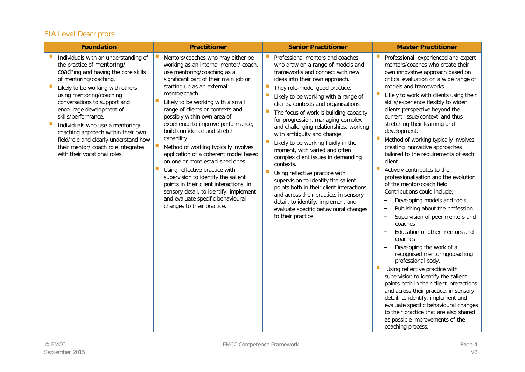# EIA Level Descriptors

| <b>Foundation</b>                                                                                                                                                                                                                                                                                                                                                                                                                                                                                 | <b>Practitioner</b>                                                                                                                                                                                                                                                                                                                                                                                                                                                                                                                                                                                                                                                                                                                                      | <b>Senior Practitioner</b>                                                                                                                                                                                                                                                                                                                                                                                                                                                                                                                                                                                                                                                                                                                                                                                                                                 | <b>Master Practitioner</b>                                                                                                                                                                                                                                                                                                                                                                                                                                                                                                                                                                                                                                                                                                                                                                                                                                                                                                                                                                                                                                                                                                                                                                                                                                                                                          |
|---------------------------------------------------------------------------------------------------------------------------------------------------------------------------------------------------------------------------------------------------------------------------------------------------------------------------------------------------------------------------------------------------------------------------------------------------------------------------------------------------|----------------------------------------------------------------------------------------------------------------------------------------------------------------------------------------------------------------------------------------------------------------------------------------------------------------------------------------------------------------------------------------------------------------------------------------------------------------------------------------------------------------------------------------------------------------------------------------------------------------------------------------------------------------------------------------------------------------------------------------------------------|------------------------------------------------------------------------------------------------------------------------------------------------------------------------------------------------------------------------------------------------------------------------------------------------------------------------------------------------------------------------------------------------------------------------------------------------------------------------------------------------------------------------------------------------------------------------------------------------------------------------------------------------------------------------------------------------------------------------------------------------------------------------------------------------------------------------------------------------------------|---------------------------------------------------------------------------------------------------------------------------------------------------------------------------------------------------------------------------------------------------------------------------------------------------------------------------------------------------------------------------------------------------------------------------------------------------------------------------------------------------------------------------------------------------------------------------------------------------------------------------------------------------------------------------------------------------------------------------------------------------------------------------------------------------------------------------------------------------------------------------------------------------------------------------------------------------------------------------------------------------------------------------------------------------------------------------------------------------------------------------------------------------------------------------------------------------------------------------------------------------------------------------------------------------------------------|
| Individuals with an understanding of<br>the practice of mentoring/<br>coaching and having the core skills<br>of mentoring/coaching.<br>Likely to be working with others<br>using mentoring/coaching<br>conversations to support and<br>encourage development of<br>skills/performance.<br>$\mathcal{C}$<br>Individuals who use a mentoring/<br>coaching approach within their own<br>field/role and clearly understand how<br>their mentor/ coach role integrates<br>with their vocational roles. | Mentors/coaches who may either be<br>working as an internal mentor/coach,<br>use mentoring/coaching as a<br>significant part of their main job or<br>starting up as an external<br>mentor/coach.<br>Likely to be working with a small<br>range of clients or contexts and<br>possibly within own area of<br>experience to improve performance,<br>build confidence and stretch<br>capability.<br>ш<br>Method of working typically involves<br>application of a coherent model based<br>on one or more established ones.<br>Using reflective practice with<br>supervision to identify the salient<br>points in their client interactions, in<br>sensory detail, to identify, implement<br>and evaluate specific behavioural<br>changes to their practice. | Professional mentors and coaches<br>who draw on a range of models and<br>frameworks and connect with new<br>ideas into their own approach.<br>$\mathcal{C}$<br>They role-model good practice.<br>T.<br>Likely to be working with a range of<br>clients, contexts and organisations.<br>$\mathbb{R}^n$<br>The focus of work is building capacity<br>for progression, managing complex<br>and challenging relationships, working<br>with ambiguity and change.<br>Likely to be working fluidly in the<br>moment, with varied and often<br>complex client issues in demanding<br>contexts.<br>Using reflective practice with<br>supervision to identify the salient<br>points both in their client interactions<br>and across their practice, in sensory<br>detail, to identify, implement and<br>evaluate specific behavioural changes<br>to their practice. | Professional, experienced and expert<br>mentors/coaches who create their<br>own innovative approach based on<br>critical evaluation on a wide range of<br>models and frameworks.<br>Likely to work with clients using their<br>skills/experience flexibly to widen<br>clients perspective beyond the<br>current 'issue/context' and thus<br>stretching their learning and<br>development.<br>Method of working typically involves<br>creating innovative approaches<br>tailored to the requirements of each<br>client.<br>Actively contributes to the<br>professionalisation and the evolution<br>of the mentor/coach field.<br>Contributions could include:<br>Developing models and tools<br>Publishing about the profession<br>Supervision of peer mentors and<br>$\overline{\phantom{0}}$<br>coaches<br>Education of other mentors and<br>$\overline{\phantom{m}}$<br>coaches<br>Developing the work of a<br>recognised mentoring/coaching<br>professional body.<br>Using reflective practice with<br>supervision to identify the salient<br>points both in their client interactions<br>and across their practice, in sensory<br>detail, to identify, implement and<br>evaluate specific behavioural changes<br>to their practice that are also shared<br>as possible improvements of the<br>coaching process. |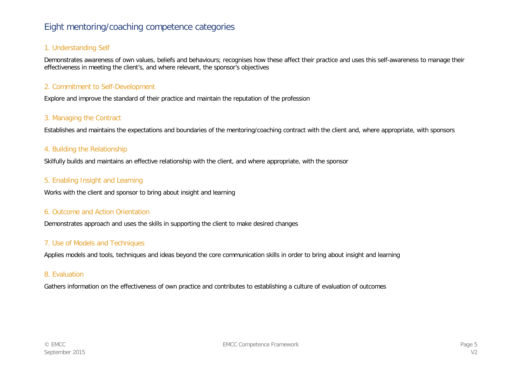## Eight mentoring/coaching competence categories

#### 1. Understanding Self

Demonstrates awareness of own values, beliefs and behaviours; recognises how these affect their practice and uses this self-awareness to manage their effectiveness in meeting the client's, and where relevant, the sponsor's objectives

#### 2. Commitment to Self-Development

Explore and improve the standard of their practice and maintain the reputation of the profession

#### 3. Managing the Contract

Establishes and maintains the expectations and boundaries of the mentoring/coaching contract with the client and, where appropriate, with sponsors

#### 4. Building the Relationship

Skilfully builds and maintains an effective relationship with the client, and where appropriate, with the sponsor

#### 5. Enabling Insight and Learning

Works with the client and sponsor to bring about insight and learning

#### 6. Outcome and Action Orientation

Demonstrates approach and uses the skills in supporting the client to make desired changes

#### 7. Use of Models and Techniques

Applies models and tools, techniques and ideas beyond the core communication skills in order to bring about insight and learning

#### 8. Evaluation

Gathers information on the effectiveness of own practice and contributes to establishing a culture of evaluation of outcomes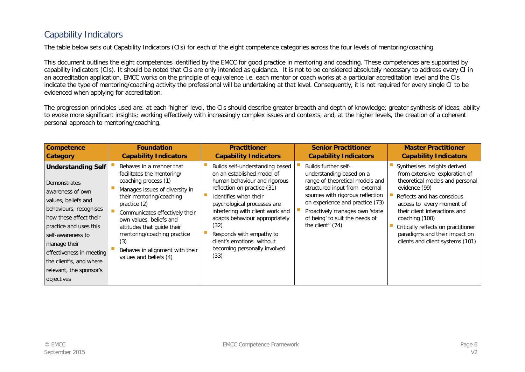# Capability Indicators

The table below sets out Capability Indicators (CIs) for each of the eight competence categories across the four levels of mentoring/coaching.

This document outlines the eight competences identified by the EMCC for good practice in mentoring and coaching. These competences are supported by capability indicators (CIs). It should be noted that CIs are only intended as guidance. It is not to be considered absolutely necessary to address every CI in an accreditation application. EMCC works on the principle of equivalence i.e. each mentor or coach works at a particular accreditation level and the CIs indicate the type of mentoring/coaching activity the professional will be undertaking at that level. Consequently, it is not required for every single CI to be evidenced when applying for accreditation.

The progression principles used are: at each 'higher' level, the CIs should describe greater breadth and depth of knowledge; greater synthesis of ideas; ability to evoke more significant insights; working effectively with increasingly complex issues and contexts, and, at the higher levels, the creation of a coherent personal approach to mentoring/coaching.

| <b>Competence</b>                                                                                                                                                                                                                                                                                              | <b>Foundation</b>                                                                                                                                                                                                                                                                                                                                            | <b>Practitioner</b>                                                                                                                                                                                                                                                                                                                                                 | <b>Senior Practitioner</b>                                                                                                                                                                                                                                                           | <b>Master Practitioner</b>                                                                                                                                                                                                                                                                                                                  |
|----------------------------------------------------------------------------------------------------------------------------------------------------------------------------------------------------------------------------------------------------------------------------------------------------------------|--------------------------------------------------------------------------------------------------------------------------------------------------------------------------------------------------------------------------------------------------------------------------------------------------------------------------------------------------------------|---------------------------------------------------------------------------------------------------------------------------------------------------------------------------------------------------------------------------------------------------------------------------------------------------------------------------------------------------------------------|--------------------------------------------------------------------------------------------------------------------------------------------------------------------------------------------------------------------------------------------------------------------------------------|---------------------------------------------------------------------------------------------------------------------------------------------------------------------------------------------------------------------------------------------------------------------------------------------------------------------------------------------|
| <b>Category</b>                                                                                                                                                                                                                                                                                                | <b>Capability Indicators</b>                                                                                                                                                                                                                                                                                                                                 | <b>Capability Indicators</b>                                                                                                                                                                                                                                                                                                                                        | <b>Capability Indicators</b>                                                                                                                                                                                                                                                         | <b>Capability Indicators</b>                                                                                                                                                                                                                                                                                                                |
| <b>Understanding Self</b><br><b>Demonstrates</b><br>awareness of own<br>values, beliefs and<br>behaviours, recognises<br>how these affect their<br>practice and uses this<br>self-awareness to<br>manage their<br>effectiveness in meeting<br>the client's, and where<br>relevant, the sponsor's<br>objectives | Behaves in a manner that<br>facilitates the mentoring/<br>coaching process (1)<br>Manages issues of diversity in<br>their mentoring/coaching<br>practice $(2)$<br>Communicates effectively their<br>own values, beliefs and<br>attitudes that quide their<br>mentoring/coaching practice<br>(3)<br>Behaves in alignment with their<br>values and beliefs (4) | Builds self-understanding based<br>on an established model of<br>human behaviour and rigorous<br>reflection on practice (31)<br>Identifies when their<br>psychological processes are<br>interfering with client work and<br>adapts behaviour appropriately<br>(32)<br>Responds with empathy to<br>client's emotions without<br>becoming personally involved<br>(33) | Builds further self-<br>understanding based on a<br>range of theoretical models and<br>structured input from external<br>sources with rigorous reflection<br>on experience and practice (73)<br>Proactively manages own 'state<br>of being' to suit the needs of<br>the client" (74) | Synthesises insights derived<br>from extensive exploration of<br>theoretical models and personal<br>evidence (99)<br>Reflects and has conscious<br>access to every moment of<br>their client interactions and<br>coaching (100)<br>Critically reflects on practitioner<br>paradigms and their impact on<br>clients and client systems (101) |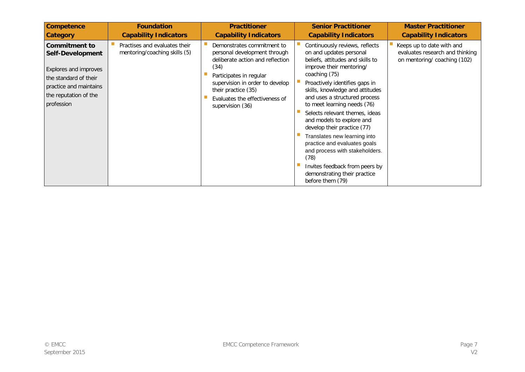| <b>Competence</b>                                                                                                                                           | <b>Foundation</b>                                              | <b>Practitioner</b>                                                                                                                                                                                                                               | <b>Senior Practitioner</b>                                                                                                                                                                                                                                                                                                                                                                                                                                                                                                                                                    | <b>Master Practitioner</b>                                                                  |
|-------------------------------------------------------------------------------------------------------------------------------------------------------------|----------------------------------------------------------------|---------------------------------------------------------------------------------------------------------------------------------------------------------------------------------------------------------------------------------------------------|-------------------------------------------------------------------------------------------------------------------------------------------------------------------------------------------------------------------------------------------------------------------------------------------------------------------------------------------------------------------------------------------------------------------------------------------------------------------------------------------------------------------------------------------------------------------------------|---------------------------------------------------------------------------------------------|
| <b>Category</b>                                                                                                                                             | <b>Capability Indicators</b>                                   | <b>Capability Indicators</b>                                                                                                                                                                                                                      | <b>Capability Indicators</b>                                                                                                                                                                                                                                                                                                                                                                                                                                                                                                                                                  | <b>Capability Indicators</b>                                                                |
| <b>Commitment to</b><br>Self-Development<br>Explores and improves<br>the standard of their<br>practice and maintains<br>the reputation of the<br>profession | Practises and evaluates their<br>mentoring/coaching skills (5) | Demonstrates commitment to<br>personal development through<br>deliberate action and reflection<br>(34)<br>Participates in regular<br>supervision in order to develop<br>their practice (35)<br>Evaluates the effectiveness of<br>supervision (36) | Continuously reviews, reflects<br>on and updates personal<br>beliefs, attitudes and skills to<br>improve their mentoring/<br>coaching (75)<br>Proactively identifies gaps in<br>skills, knowledge and attitudes<br>and uses a structured process<br>to meet learning needs (76)<br>Selects relevant themes, ideas<br>and models to explore and<br>develop their practice (77)<br>Translates new learning into<br>practice and evaluates goals<br>and process with stakeholders.<br>(78)<br>Invites feedback from peers by<br>demonstrating their practice<br>before them (79) | Keeps up to date with and<br>evaluates research and thinking<br>on mentoring/coaching (102) |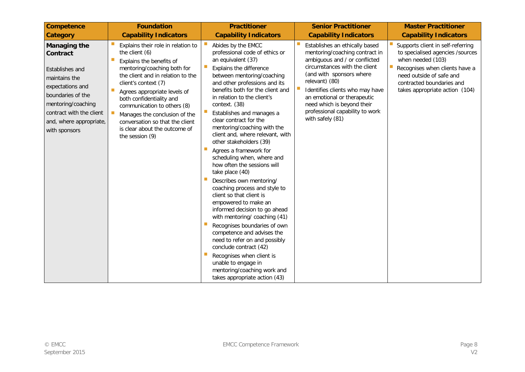| <b>Competence</b>                                                                                                                                                                                          | <b>Foundation</b>                                                                                                                                                                                                                                                                                                                                                                               | <b>Practitioner</b>                                                                                                                                                                                                                                                                                                                                                                                                                                                                                                                                                                                                                                                                                                                                                                                                                                                                                                                                     | <b>Senior Practitioner</b>                                                                                                                                                                                                                                                                                                              | <b>Master Practitioner</b>                                                                                                                                                                                                        |
|------------------------------------------------------------------------------------------------------------------------------------------------------------------------------------------------------------|-------------------------------------------------------------------------------------------------------------------------------------------------------------------------------------------------------------------------------------------------------------------------------------------------------------------------------------------------------------------------------------------------|---------------------------------------------------------------------------------------------------------------------------------------------------------------------------------------------------------------------------------------------------------------------------------------------------------------------------------------------------------------------------------------------------------------------------------------------------------------------------------------------------------------------------------------------------------------------------------------------------------------------------------------------------------------------------------------------------------------------------------------------------------------------------------------------------------------------------------------------------------------------------------------------------------------------------------------------------------|-----------------------------------------------------------------------------------------------------------------------------------------------------------------------------------------------------------------------------------------------------------------------------------------------------------------------------------------|-----------------------------------------------------------------------------------------------------------------------------------------------------------------------------------------------------------------------------------|
| <b>Category</b>                                                                                                                                                                                            | <b>Capability Indicators</b>                                                                                                                                                                                                                                                                                                                                                                    | <b>Capability Indicators</b>                                                                                                                                                                                                                                                                                                                                                                                                                                                                                                                                                                                                                                                                                                                                                                                                                                                                                                                            | <b>Capability Indicators</b>                                                                                                                                                                                                                                                                                                            | <b>Capability Indicators</b>                                                                                                                                                                                                      |
| <b>Managing the</b><br>Contract<br>Establishes and<br>maintains the<br>expectations and<br>boundaries of the<br>mentoring/coaching<br>contract with the client<br>and, where appropriate,<br>with sponsors | Explains their role in relation to<br>the client (6)<br>Explains the benefits of<br>mentoring/coaching both for<br>the client and in relation to the<br>client's context (7)<br>Agrees appropriate levels of<br>both confidentiality and<br>communication to others (8)<br>Manages the conclusion of the<br>conversation so that the client<br>is clear about the outcome of<br>the session (9) | Abides by the EMCC<br>professional code of ethics or<br>an equivalent (37)<br>Explains the difference<br>between mentoring/coaching<br>and other professions and its<br>benefits both for the client and<br>in relation to the client's<br>context. (38)<br>Establishes and manages a<br>clear contract for the<br>mentoring/coaching with the<br>client and, where relevant, with<br>other stakeholders (39)<br>Agrees a framework for<br>scheduling when, where and<br>how often the sessions will<br>take place (40)<br>Describes own mentoring/<br>coaching process and style to<br>client so that client is<br>empowered to make an<br>informed decision to go ahead<br>with mentoring/ coaching (41)<br>Recognises boundaries of own<br>competence and advises the<br>need to refer on and possibly<br>conclude contract (42)<br>Recognises when client is<br>unable to engage in<br>mentoring/coaching work and<br>takes appropriate action (43) | Establishes an ethically based<br>mentoring/coaching contract in<br>ambiguous and / or conflicted<br>circumstances with the client<br>(and with sponsors where<br>relevant) (80)<br>Identifies clients who may have<br>an emotional or therapeutic<br>need which is beyond their<br>professional capability to work<br>with safely (81) | ш<br>Supports client in self-referring<br>to specialised agencies /sources<br>when needed (103)<br>ш<br>Recognises when clients have a<br>need outside of safe and<br>contracted boundaries and<br>takes appropriate action (104) |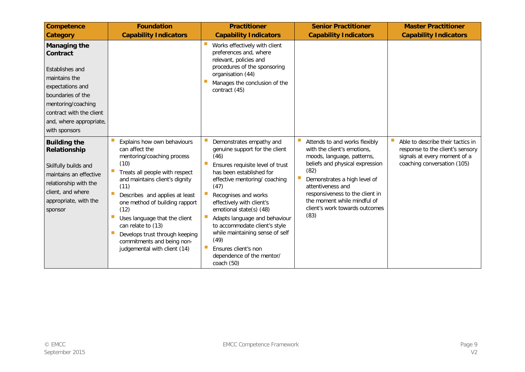| <b>Competence</b><br><b>Category</b>                                                                                                                                                                       | <b>Foundation</b><br><b>Capability Indicators</b>                                                                                                                                                                                                                                                                                                                                                  | <b>Practitioner</b><br><b>Capability Indicators</b>                                                                                                                                                                                                                                                                                                                                                                                        | <b>Senior Practitioner</b><br><b>Capability Indicators</b>                                                                                                                                                                                                                                             | <b>Master Practitioner</b><br><b>Capability Indicators</b>                                                                           |
|------------------------------------------------------------------------------------------------------------------------------------------------------------------------------------------------------------|----------------------------------------------------------------------------------------------------------------------------------------------------------------------------------------------------------------------------------------------------------------------------------------------------------------------------------------------------------------------------------------------------|--------------------------------------------------------------------------------------------------------------------------------------------------------------------------------------------------------------------------------------------------------------------------------------------------------------------------------------------------------------------------------------------------------------------------------------------|--------------------------------------------------------------------------------------------------------------------------------------------------------------------------------------------------------------------------------------------------------------------------------------------------------|--------------------------------------------------------------------------------------------------------------------------------------|
| <b>Managing the</b><br>Contract<br>Establishes and<br>maintains the<br>expectations and<br>boundaries of the<br>mentoring/coaching<br>contract with the client<br>and, where appropriate,<br>with sponsors |                                                                                                                                                                                                                                                                                                                                                                                                    | Works effectively with client<br>preferences and, where<br>relevant, policies and<br>procedures of the sponsoring<br>organisation (44)<br>Manages the conclusion of the<br>contract (45)                                                                                                                                                                                                                                                   |                                                                                                                                                                                                                                                                                                        |                                                                                                                                      |
| <b>Building the</b><br>Relationship<br>Skilfully builds and<br>maintains an effective<br>relationship with the<br>client, and where<br>appropriate, with the<br>sponsor                                    | Explains how own behaviours<br>can affect the<br>mentoring/coaching process<br>(10)<br>Treats all people with respect<br>and maintains client's dignity<br>(11)<br>Describes and applies at least<br>one method of building rapport<br>(12)<br>Uses language that the client<br>can relate to (13)<br>Develops trust through keeping<br>commitments and being non-<br>judgemental with client (14) | Demonstrates empathy and<br>genuine support for the client<br>(46)<br>Ensures requisite level of trust<br>has been established for<br>effective mentoring/ coaching<br>(47)<br>Recognises and works<br>effectively with client's<br>emotional state(s) (48)<br>Adapts language and behaviour<br>to accommodate client's style<br>while maintaining sense of self<br>(49)<br>Ensures client's non<br>dependence of the mentor/<br>coach(50) | Attends to and works flexibly<br>with the client's emotions,<br>moods, language, patterns,<br>beliefs and physical expression<br>(82)<br>Demonstrates a high level of<br>attentiveness and<br>responsiveness to the client in<br>the moment while mindful of<br>client's work towards outcomes<br>(83) | Able to describe their tactics in<br>response to the client's sensory<br>signals at every moment of a<br>coaching conversation (105) |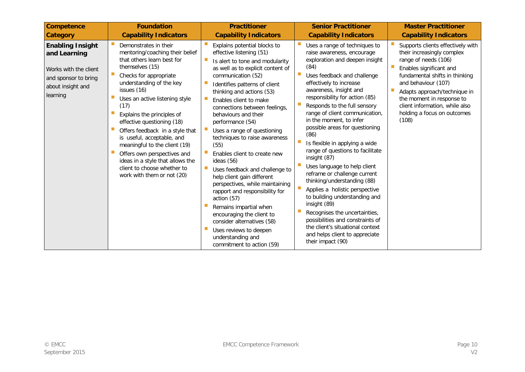| <b>Competence</b>                                                                                                         | <b>Foundation</b>                                                                                                                                                                                                                                                                                                                                                                                                                                                                                                      | <b>Practitioner</b>                                                                                                                                                                                                                                                                                                                                                                                                                                                                                                                                                                                                                                                                                                                                                      | <b>Senior Practitioner</b>                                                                                                                                                                                                                                                                                                                                                                                                                                                                                                                                                                                                                                                                                                                                                                                 | <b>Master Practitioner</b>                                                                                                                                                                                                                                                                                         |
|---------------------------------------------------------------------------------------------------------------------------|------------------------------------------------------------------------------------------------------------------------------------------------------------------------------------------------------------------------------------------------------------------------------------------------------------------------------------------------------------------------------------------------------------------------------------------------------------------------------------------------------------------------|--------------------------------------------------------------------------------------------------------------------------------------------------------------------------------------------------------------------------------------------------------------------------------------------------------------------------------------------------------------------------------------------------------------------------------------------------------------------------------------------------------------------------------------------------------------------------------------------------------------------------------------------------------------------------------------------------------------------------------------------------------------------------|------------------------------------------------------------------------------------------------------------------------------------------------------------------------------------------------------------------------------------------------------------------------------------------------------------------------------------------------------------------------------------------------------------------------------------------------------------------------------------------------------------------------------------------------------------------------------------------------------------------------------------------------------------------------------------------------------------------------------------------------------------------------------------------------------------|--------------------------------------------------------------------------------------------------------------------------------------------------------------------------------------------------------------------------------------------------------------------------------------------------------------------|
| <b>Category</b>                                                                                                           | <b>Capability Indicators</b>                                                                                                                                                                                                                                                                                                                                                                                                                                                                                           | <b>Capability Indicators</b>                                                                                                                                                                                                                                                                                                                                                                                                                                                                                                                                                                                                                                                                                                                                             | <b>Capability Indicators</b>                                                                                                                                                                                                                                                                                                                                                                                                                                                                                                                                                                                                                                                                                                                                                                               | <b>Capability Indicators</b>                                                                                                                                                                                                                                                                                       |
| <b>Enabling Insight</b><br>and Learning<br>Works with the client<br>and sponsor to bring<br>about insight and<br>learning | Demonstrates in their<br>mentoring/coaching their belief<br>that others learn best for<br>themselves (15)<br>Checks for appropriate<br>understanding of the key<br>issues (16)<br>Uses an active listening style<br>(17)<br>Explains the principles of<br>effective questioning (18)<br>Offers feedback in a style that<br>is useful, acceptable, and<br>meaningful to the client (19)<br>Offers own perspectives and<br>ideas in a style that allows the<br>client to choose whether to<br>work with them or not (20) | Explains potential blocks to<br>effective listening (51)<br>Is alert to tone and modularity<br>as well as to explicit content of<br>communication (52)<br>Identifies patterns of client<br>thinking and actions (53)<br>Enables client to make<br>connections between feelings,<br>behaviours and their<br>performance (54)<br>Uses a range of questioning<br>techniques to raise awareness<br>(55)<br>Enables client to create new<br>ideas $(56)$<br>Uses feedback and challenge to<br>help client gain different<br>perspectives, while maintaining<br>rapport and responsibility for<br>action (57)<br>Remains impartial when<br>encouraging the client to<br>consider alternatives (58)<br>Uses reviews to deepen<br>understanding and<br>commitment to action (59) | Uses a range of techniques to<br>raise awareness, encourage<br>exploration and deepen insight<br>(84)<br>Uses feedback and challenge<br>effectively to increase<br>awareness, insight and<br>responsibility for action (85)<br>Responds to the full sensory<br>range of client communication,<br>in the moment, to infer<br>possible areas for questioning<br>(86)<br>Is flexible in applying a wide<br>range of questions to facilitate<br>insight (87)<br>Uses language to help client<br>reframe or challenge current<br>thinking/understanding (88)<br>Applies a holistic perspective<br>to building understanding and<br>insight (89)<br>Recognises the uncertainties,<br>possibilities and constraints of<br>the client's situational context<br>and helps client to appreciate<br>their impact (90) | Supports clients effectively with<br>their increasingly complex<br>range of needs (106)<br>Enables significant and<br>fundamental shifts in thinking<br>and behaviour (107)<br>Adapts approach/technique in<br>the moment in response to<br>client information, while also<br>holding a focus on outcomes<br>(108) |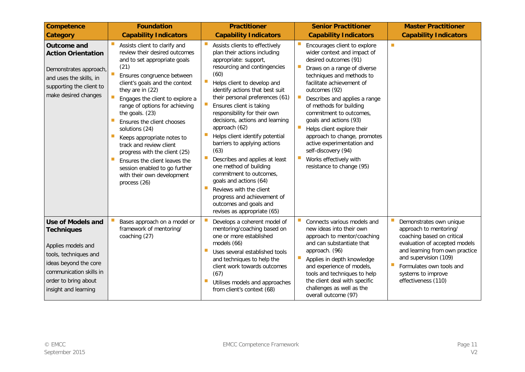| <b>Competence</b>                                                                                                                                                                                | <b>Foundation</b>                                                                                                                                                                                                                                                                                                                                                                                                                                                                                                                            | <b>Practitioner</b>                                                                                                                                                                                                                                                                                                                                                                                                                                                                                                                                                                                                                                                 | <b>Senior Practitioner</b>                                                                                                                                                                                                                                                                                                                                                                                                                                                                | <b>Master Practitioner</b>                                                                                                                                                                                                                           |
|--------------------------------------------------------------------------------------------------------------------------------------------------------------------------------------------------|----------------------------------------------------------------------------------------------------------------------------------------------------------------------------------------------------------------------------------------------------------------------------------------------------------------------------------------------------------------------------------------------------------------------------------------------------------------------------------------------------------------------------------------------|---------------------------------------------------------------------------------------------------------------------------------------------------------------------------------------------------------------------------------------------------------------------------------------------------------------------------------------------------------------------------------------------------------------------------------------------------------------------------------------------------------------------------------------------------------------------------------------------------------------------------------------------------------------------|-------------------------------------------------------------------------------------------------------------------------------------------------------------------------------------------------------------------------------------------------------------------------------------------------------------------------------------------------------------------------------------------------------------------------------------------------------------------------------------------|------------------------------------------------------------------------------------------------------------------------------------------------------------------------------------------------------------------------------------------------------|
| <b>Category</b>                                                                                                                                                                                  | <b>Capability Indicators</b>                                                                                                                                                                                                                                                                                                                                                                                                                                                                                                                 | <b>Capability Indicators</b>                                                                                                                                                                                                                                                                                                                                                                                                                                                                                                                                                                                                                                        | <b>Capability Indicators</b>                                                                                                                                                                                                                                                                                                                                                                                                                                                              | <b>Capability Indicators</b>                                                                                                                                                                                                                         |
| Outcome and<br><b>Action Orientation</b><br>Demonstrates approach,<br>and uses the skills, in<br>supporting the client to<br>make desired changes                                                | Assists client to clarify and<br>review their desired outcomes<br>and to set appropriate goals<br>(21)<br>Ensures congruence between<br>client's goals and the context<br>they are in (22)<br>Engages the client to explore a<br>range of options for achieving<br>the goals. (23)<br>Ensures the client chooses<br>solutions (24)<br>Keeps appropriate notes to<br>track and review client<br>progress with the client (25)<br>Ensures the client leaves the<br>session enabled to go further<br>with their own development<br>process (26) | Assists clients to effectively<br>plan their actions including<br>appropriate: support,<br>resourcing and contingencies<br>(60)<br>Helps client to develop and<br>identify actions that best suit<br>their personal preferences (61)<br>Ensures client is taking<br>responsibility for their own<br>decisions, actions and learning<br>approach (62)<br>Helps client identify potential<br>barriers to applying actions<br>(63)<br>Describes and applies at least<br>one method of building<br>commitment to outcomes,<br>goals and actions (64)<br>Reviews with the client<br>progress and achievement of<br>outcomes and goals and<br>revises as appropriate (65) | Encourages client to explore<br>wider context and impact of<br>desired outcomes (91)<br>Draws on a range of diverse<br>techniques and methods to<br>facilitate achievement of<br>outcomes (92)<br>Describes and applies a range<br>of methods for building<br>commitment to outcomes,<br>goals and actions (93)<br>Helps client explore their<br>approach to change, promotes<br>active experimentation and<br>self-discovery (94)<br>Works effectively with<br>resistance to change (95) | $\mathcal{C}^{\mathcal{A}}$                                                                                                                                                                                                                          |
| <b>Use of Models and</b><br><b>Techniques</b><br>Applies models and<br>tools, techniques and<br>ideas beyond the core<br>communication skills in<br>order to bring about<br>insight and learning | Bases approach on a model or<br>framework of mentoring/<br>coaching (27)                                                                                                                                                                                                                                                                                                                                                                                                                                                                     | Develops a coherent model of<br>mentoring/coaching based on<br>one or more established<br>models (66)<br>Uses several established tools<br>and techniques to help the<br>client work towards outcomes<br>(67)<br>Utilises models and approaches<br>from client's context (68)                                                                                                                                                                                                                                                                                                                                                                                       | Connects various models and<br>new ideas into their own<br>approach to mentor/coaching<br>and can substantiate that<br>approach. (96)<br>Applies in depth knowledge<br>and experience of models,<br>tools and techniques to help<br>the client deal with specific<br>challenges as well as the<br>overall outcome (97)                                                                                                                                                                    | Demonstrates own unique<br>approach to mentoring/<br>coaching based on critical<br>evaluation of accepted models<br>and learning from own practice<br>and supervision (109)<br>Formulates own tools and<br>systems to improve<br>effectiveness (110) |